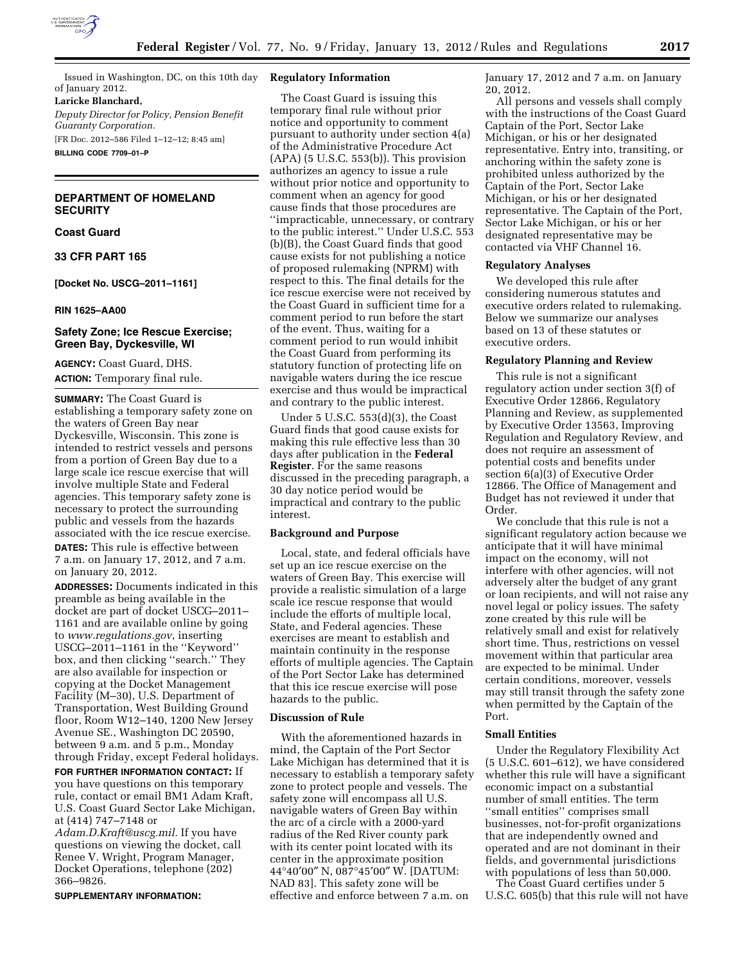

Issued in Washington, DC, on this 10th day of January 2012.

**Laricke Blanchard,** 

*Deputy Director for Policy, Pension Benefit Guaranty Corporation.*  [FR Doc. 2012–586 Filed 1–12–12; 8:45 am]

**BILLING CODE 7709–01–P** 

## **DEPARTMENT OF HOMELAND SECURITY**

## **Coast Guard**

#### **33 CFR PART 165**

**[Docket No. USCG–2011–1161]** 

#### **RIN 1625–AA00**

## **Safety Zone; Ice Rescue Exercise; Green Bay, Dyckesville, WI**

**AGENCY:** Coast Guard, DHS. **ACTION:** Temporary final rule.

**SUMMARY:** The Coast Guard is establishing a temporary safety zone on the waters of Green Bay near Dyckesville, Wisconsin. This zone is intended to restrict vessels and persons from a portion of Green Bay due to a large scale ice rescue exercise that will involve multiple State and Federal agencies. This temporary safety zone is necessary to protect the surrounding public and vessels from the hazards associated with the ice rescue exercise. **DATES:** This rule is effective between 7 a.m. on January 17, 2012, and 7 a.m. on January 20, 2012.

**ADDRESSES:** Documents indicated in this preamble as being available in the docket are part of docket USCG–2011– 1161 and are available online by going to *[www.regulations.gov](http://www.regulations.gov)*, inserting USCG–2011–1161 in the ''Keyword'' box, and then clicking ''search.'' They are also available for inspection or copying at the Docket Management Facility (M–30), U.S. Department of Transportation, West Building Ground floor, Room W12–140, 1200 New Jersey Avenue SE., Washington DC 20590, between 9 a.m. and 5 p.m., Monday through Friday, except Federal holidays.

**FOR FURTHER INFORMATION CONTACT:** If you have questions on this temporary rule, contact or email BM1 Adam Kraft, U.S. Coast Guard Sector Lake Michigan, at (414) 747–7148 or

*[Adam.D.Kraft@uscg.mil.](mailto:Adam.D.Kraft@uscg.mil)* If you have questions on viewing the docket, call Renee V. Wright, Program Manager, Docket Operations, telephone (202) 366–9826.

#### **SUPPLEMENTARY INFORMATION:**

#### **Regulatory Information**

The Coast Guard is issuing this temporary final rule without prior notice and opportunity to comment pursuant to authority under section 4(a) of the Administrative Procedure Act (APA) (5 U.S.C. 553(b)). This provision authorizes an agency to issue a rule without prior notice and opportunity to comment when an agency for good cause finds that those procedures are ''impracticable, unnecessary, or contrary to the public interest.'' Under U.S.C. 553 (b)(B), the Coast Guard finds that good cause exists for not publishing a notice of proposed rulemaking (NPRM) with respect to this. The final details for the ice rescue exercise were not received by the Coast Guard in sufficient time for a comment period to run before the start of the event. Thus, waiting for a comment period to run would inhibit the Coast Guard from performing its statutory function of protecting life on navigable waters during the ice rescue exercise and thus would be impractical and contrary to the public interest.

Under 5 U.S.C. 553(d)(3), the Coast Guard finds that good cause exists for making this rule effective less than 30 days after publication in the **Federal Register**. For the same reasons discussed in the preceding paragraph, a 30 day notice period would be impractical and contrary to the public interest.

## **Background and Purpose**

Local, state, and federal officials have set up an ice rescue exercise on the waters of Green Bay. This exercise will provide a realistic simulation of a large scale ice rescue response that would include the efforts of multiple local, State, and Federal agencies. These exercises are meant to establish and maintain continuity in the response efforts of multiple agencies. The Captain of the Port Sector Lake has determined that this ice rescue exercise will pose hazards to the public.

### **Discussion of Rule**

With the aforementioned hazards in mind, the Captain of the Port Sector Lake Michigan has determined that it is necessary to establish a temporary safety zone to protect people and vessels. The safety zone will encompass all U.S. navigable waters of Green Bay within the arc of a circle with a 2000-yard radius of the Red River county park with its center point located with its center in the approximate position 44°40′00″ N, 087°45′00″ W. [DATUM: NAD 83]. This safety zone will be effective and enforce between 7 a.m. on

January 17, 2012 and 7 a.m. on January 20, 2012.

All persons and vessels shall comply with the instructions of the Coast Guard Captain of the Port, Sector Lake Michigan, or his or her designated representative. Entry into, transiting, or anchoring within the safety zone is prohibited unless authorized by the Captain of the Port, Sector Lake Michigan, or his or her designated representative. The Captain of the Port, Sector Lake Michigan, or his or her designated representative may be contacted via VHF Channel 16.

## **Regulatory Analyses**

We developed this rule after considering numerous statutes and executive orders related to rulemaking. Below we summarize our analyses based on 13 of these statutes or executive orders.

## **Regulatory Planning and Review**

This rule is not a significant regulatory action under section 3(f) of Executive Order 12866, Regulatory Planning and Review, as supplemented by Executive Order 13563, Improving Regulation and Regulatory Review, and does not require an assessment of potential costs and benefits under section 6(a)(3) of Executive Order 12866. The Office of Management and Budget has not reviewed it under that Order.

We conclude that this rule is not a significant regulatory action because we anticipate that it will have minimal impact on the economy, will not interfere with other agencies, will not adversely alter the budget of any grant or loan recipients, and will not raise any novel legal or policy issues. The safety zone created by this rule will be relatively small and exist for relatively short time. Thus, restrictions on vessel movement within that particular area are expected to be minimal. Under certain conditions, moreover, vessels may still transit through the safety zone when permitted by the Captain of the Port.

## **Small Entities**

Under the Regulatory Flexibility Act (5 U.S.C. 601–612), we have considered whether this rule will have a significant economic impact on a substantial number of small entities. The term ''small entities'' comprises small businesses, not-for-profit organizations that are independently owned and operated and are not dominant in their fields, and governmental jurisdictions with populations of less than 50,000.

The Coast Guard certifies under 5 U.S.C. 605(b) that this rule will not have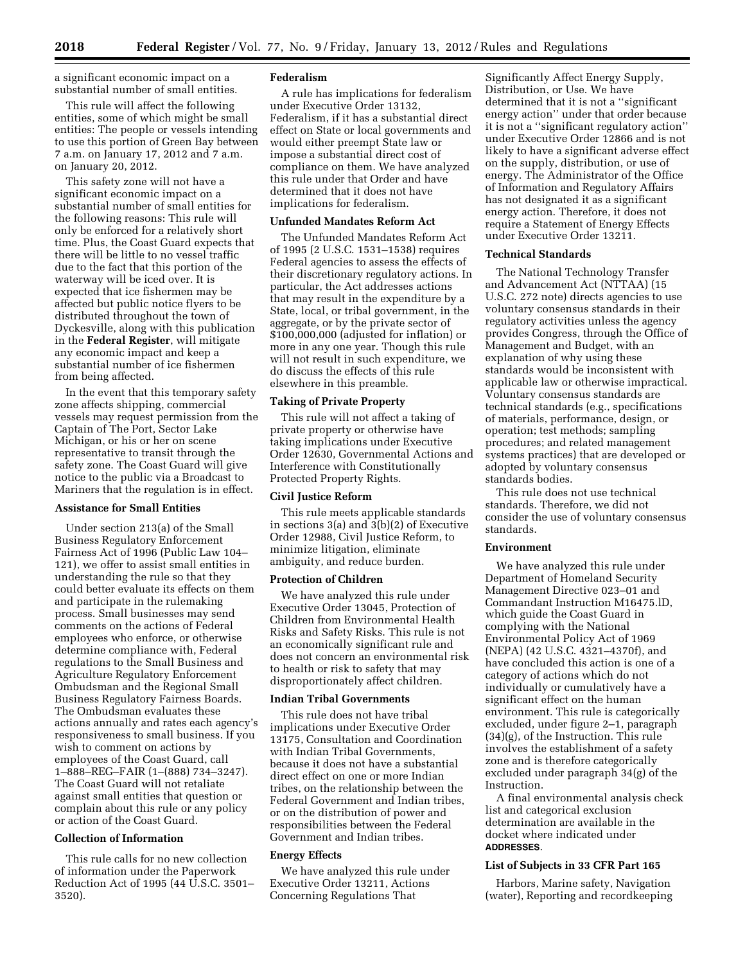a significant economic impact on a substantial number of small entities.

This rule will affect the following entities, some of which might be small entities: The people or vessels intending to use this portion of Green Bay between 7 a.m. on January 17, 2012 and 7 a.m. on January 20, 2012.

This safety zone will not have a significant economic impact on a substantial number of small entities for the following reasons: This rule will only be enforced for a relatively short time. Plus, the Coast Guard expects that there will be little to no vessel traffic due to the fact that this portion of the waterway will be iced over. It is expected that ice fishermen may be affected but public notice flyers to be distributed throughout the town of Dyckesville, along with this publication in the **Federal Register**, will mitigate any economic impact and keep a substantial number of ice fishermen from being affected.

In the event that this temporary safety zone affects shipping, commercial vessels may request permission from the Captain of The Port, Sector Lake Michigan, or his or her on scene representative to transit through the safety zone. The Coast Guard will give notice to the public via a Broadcast to Mariners that the regulation is in effect.

## **Assistance for Small Entities**

Under section 213(a) of the Small Business Regulatory Enforcement Fairness Act of 1996 (Public Law 104– 121), we offer to assist small entities in understanding the rule so that they could better evaluate its effects on them and participate in the rulemaking process. Small businesses may send comments on the actions of Federal employees who enforce, or otherwise determine compliance with, Federal regulations to the Small Business and Agriculture Regulatory Enforcement Ombudsman and the Regional Small Business Regulatory Fairness Boards. The Ombudsman evaluates these actions annually and rates each agency's responsiveness to small business. If you wish to comment on actions by employees of the Coast Guard, call 1–888–REG–FAIR (1–(888) 734–3247). The Coast Guard will not retaliate against small entities that question or complain about this rule or any policy or action of the Coast Guard.

# **Collection of Information**

This rule calls for no new collection of information under the Paperwork Reduction Act of 1995 (44 U.S.C. 3501– 3520).

### **Federalism**

A rule has implications for federalism under Executive Order 13132, Federalism, if it has a substantial direct effect on State or local governments and would either preempt State law or impose a substantial direct cost of compliance on them. We have analyzed this rule under that Order and have determined that it does not have implications for federalism.

### **Unfunded Mandates Reform Act**

The Unfunded Mandates Reform Act of 1995 (2 U.S.C. 1531–1538) requires Federal agencies to assess the effects of their discretionary regulatory actions. In particular, the Act addresses actions that may result in the expenditure by a State, local, or tribal government, in the aggregate, or by the private sector of \$100,000,000 (adjusted for inflation) or more in any one year. Though this rule will not result in such expenditure, we do discuss the effects of this rule elsewhere in this preamble.

## **Taking of Private Property**

This rule will not affect a taking of private property or otherwise have taking implications under Executive Order 12630, Governmental Actions and Interference with Constitutionally Protected Property Rights.

#### **Civil Justice Reform**

This rule meets applicable standards in sections 3(a) and 3(b)(2) of Executive Order 12988, Civil Justice Reform, to minimize litigation, eliminate ambiguity, and reduce burden.

## **Protection of Children**

We have analyzed this rule under Executive Order 13045, Protection of Children from Environmental Health Risks and Safety Risks. This rule is not an economically significant rule and does not concern an environmental risk to health or risk to safety that may disproportionately affect children.

#### **Indian Tribal Governments**

This rule does not have tribal implications under Executive Order 13175, Consultation and Coordination with Indian Tribal Governments, because it does not have a substantial direct effect on one or more Indian tribes, on the relationship between the Federal Government and Indian tribes, or on the distribution of power and responsibilities between the Federal Government and Indian tribes.

#### **Energy Effects**

We have analyzed this rule under Executive Order 13211, Actions Concerning Regulations That

Significantly Affect Energy Supply, Distribution, or Use. We have determined that it is not a ''significant energy action'' under that order because it is not a ''significant regulatory action'' under Executive Order 12866 and is not likely to have a significant adverse effect on the supply, distribution, or use of energy. The Administrator of the Office of Information and Regulatory Affairs has not designated it as a significant energy action. Therefore, it does not require a Statement of Energy Effects under Executive Order 13211.

## **Technical Standards**

The National Technology Transfer and Advancement Act (NTTAA) (15 U.S.C. 272 note) directs agencies to use voluntary consensus standards in their regulatory activities unless the agency provides Congress, through the Office of Management and Budget, with an explanation of why using these standards would be inconsistent with applicable law or otherwise impractical. Voluntary consensus standards are technical standards (e.g., specifications of materials, performance, design, or operation; test methods; sampling procedures; and related management systems practices) that are developed or adopted by voluntary consensus standards bodies.

This rule does not use technical standards. Therefore, we did not consider the use of voluntary consensus standards.

## **Environment**

We have analyzed this rule under Department of Homeland Security Management Directive 023–01 and Commandant Instruction M16475.lD, which guide the Coast Guard in complying with the National Environmental Policy Act of 1969 (NEPA) (42 U.S.C. 4321–4370f), and have concluded this action is one of a category of actions which do not individually or cumulatively have a significant effect on the human environment. This rule is categorically excluded, under figure 2–1, paragraph (34)(g), of the Instruction. This rule involves the establishment of a safety zone and is therefore categorically excluded under paragraph 34(g) of the Instruction.

A final environmental analysis check list and categorical exclusion determination are available in the docket where indicated under **ADDRESSES**.

## **List of Subjects in 33 CFR Part 165**

Harbors, Marine safety, Navigation (water), Reporting and recordkeeping